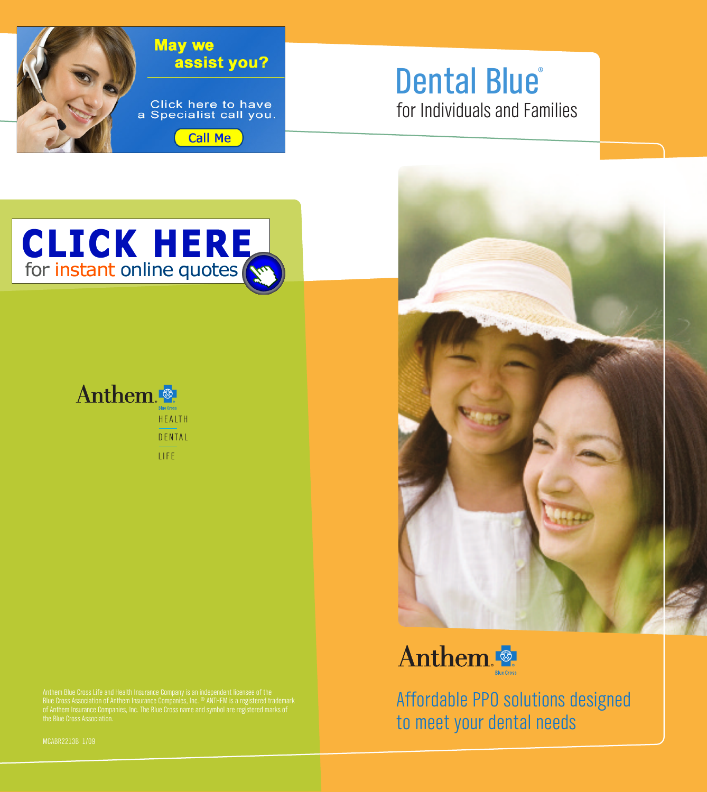

## **for Individuals and Families Dental Blue ®**





**LIFE**





Anthem Blue Cross Life and Health Insurance Company is an independent licensee of the<br>Blue Cross Association of Anthem Insurance Companies, Inc. ® ANTHEM is a registered trademark<br>of Anthem Insurance Companies, Inc. The Bl

Anthem

**Affordable PPO solutions designed to meet your dental needs**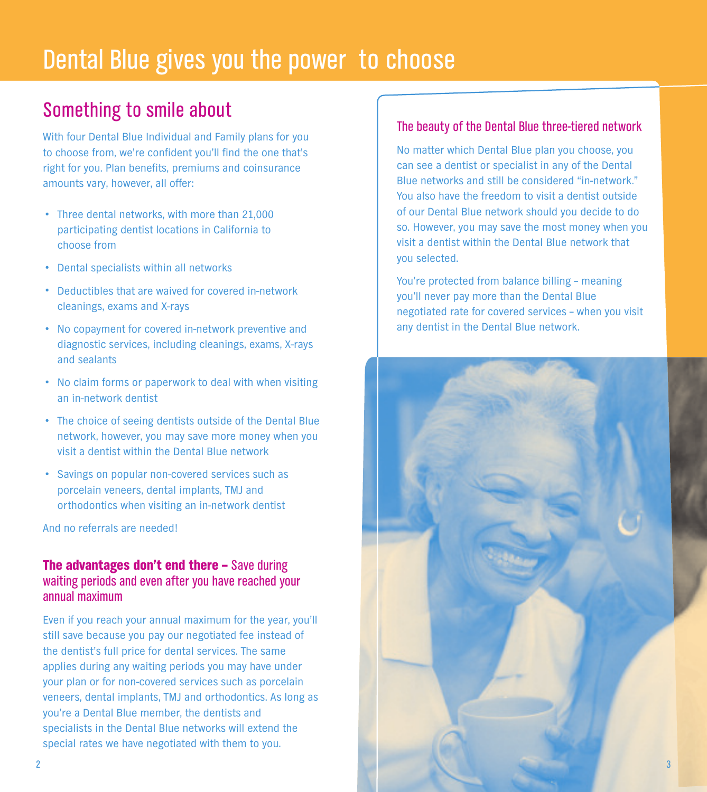## **Dental Blue gives you the power to choose**

## **Something to smile about**

**With four Dental Blue Individual and Family plans for you to choose from, we're confident you'll find the one that's right for you. Plan benefits, premiums and coinsurance amounts vary, however, all offer:**

- **• Three dental networks, with more than 21,000 participating dentist locations in California to choose from**
- **• Dental specialists within all networks**
- **• Deductibles that are waived for covered in-network cleanings, exams and X-rays**
- **• No copayment for covered in-network preventive and diagnostic services, including cleanings, exams, X-rays and sealants**
- **• No claim forms or paperwork to deal with when visiting an in-network dentist**
- **• The choice of seeing dentists outside of the Dental Blue network, however, you may save more money when you visit a dentist within the Dental Blue network**
- **• Savings on popular non-covered services such as porcelain veneers, dental implants, TMJ and orthodontics when visiting an in-network dentist**

**And no referrals are needed!**

### **The advantages don't end there – Save during waiting periods and even after you have reached your annual maximum**

**Even if you reach your annual maximum for the year, you'll still save because you pay our negotiated fee instead of the dentist's full price for dental services. The same applies during any waiting periods you may have under your plan or for non-covered services such as porcelain veneers, dental implants, TMJ and orthodontics. As long as you're a Dental Blue member, the dentists and specialists in the Dental Blue networks will extend the special rates we have negotiated with them to you.**

### **The beauty of the Dental Blue three-tiered network**

**No matter which Dental Blue plan you choose, you can see a dentist or specialist in any of the Dental Blue networks and still be considered "in-network." You also have the freedom to visit a dentist outside of our Dental Blue network should you decide to do so. However, you may save the most money when you visit a dentist within the Dental Blue network that you selected.**

**You're protected from balance billing – meaning you'll never pay more than the Dental Blue negotiated rate for covered services – when you visit any dentist in the Dental Blue network.**

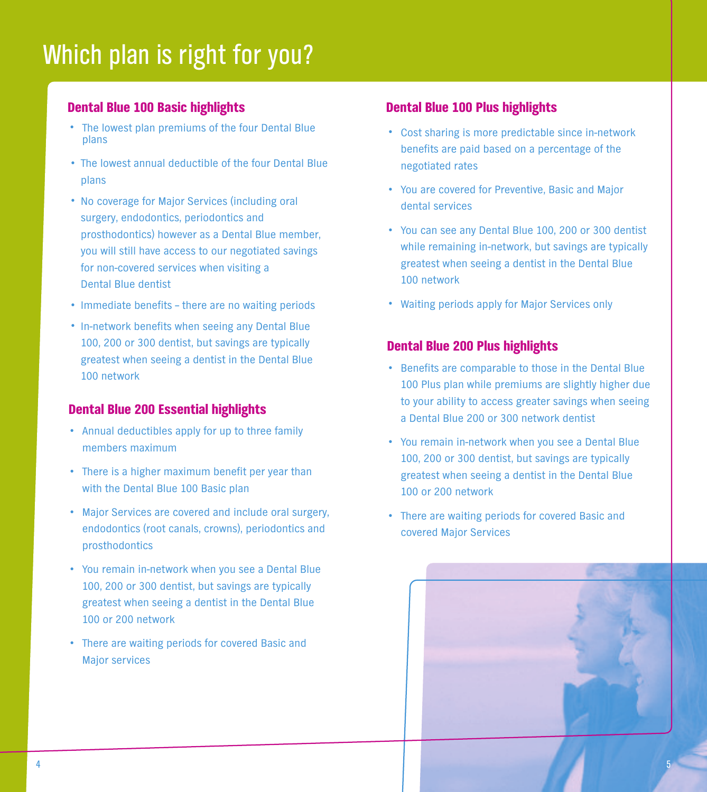# **Which plan is right for you?**

## **Dental Blue 100 Basic highlights**

- **• The lowest plan premiums of the four Dental Blue plans**
- **• The lowest annual deductible of the four Dental Blue plans**
- **• No coverage for Major Services (including oral surgery, endodontics, periodontics and prosthodontics) however as a Dental Blue member, you will still have access to our negotiated savings for non-covered services when visiting a Dental Blue dentist**
- **•Immediate benefits – there are no waiting periods**
- **•In-network benefits when seeing any Dental Blue 100, 200 or 300 dentist, but savings are typically greatest when seeing a dentist in the Dental Blue 100 network**

### **Dental Blue 200 Essential highlights**

- **• Annual deductibles apply for up to three family members maximum**
- **• There is <sup>a</sup> higher maximum benefit per year than with the Dental Blue 100 Basic plan**
- **• Major Services are covered and include oral surgery, endodontics (root canals, crowns), periodontics and prosthodontics**
- **• You remain in-network when you see <sup>a</sup> Dental Blue 100, 200 or 300 dentist, but savings are typically greatest when seeing a dentist in the Dental Blue 100 or 200 network**
- **• There are waiting periods for covered Basic and Major services**

### **Dental Blue 100 Plus highlights**

- **• Cost sharing is more predictable since in-network benefits are paid based on a percentage of the negotiated rates**
- **• You are covered for Preventive, Basic and Major dental services**
- **• You can see any Dental Blue 100, <sup>200</sup> or <sup>300</sup> dentist while remaining in-network, but savings are typically greatest when seeing a dentist in the Dental Blue 100 network**
- **• Waiting periods apply for Major Services only**

### **Dental Blue 200 Plus highlights**

- **• Benefits are comparable to those in the Dental Blue 100 Plus plan while premiums are slightly higher due to your ability to access greater savings when seeing a Dental Blue 200 or 300 network dentist**
- **• You remain in-network when you see <sup>a</sup> Dental Blue 100, 200 or 300 dentist, but savings are typically greatest when seeing a dentist in the Dental Blue 100 or 200 network**
- **• There are waiting periods for covered Basic and covered Major Services**

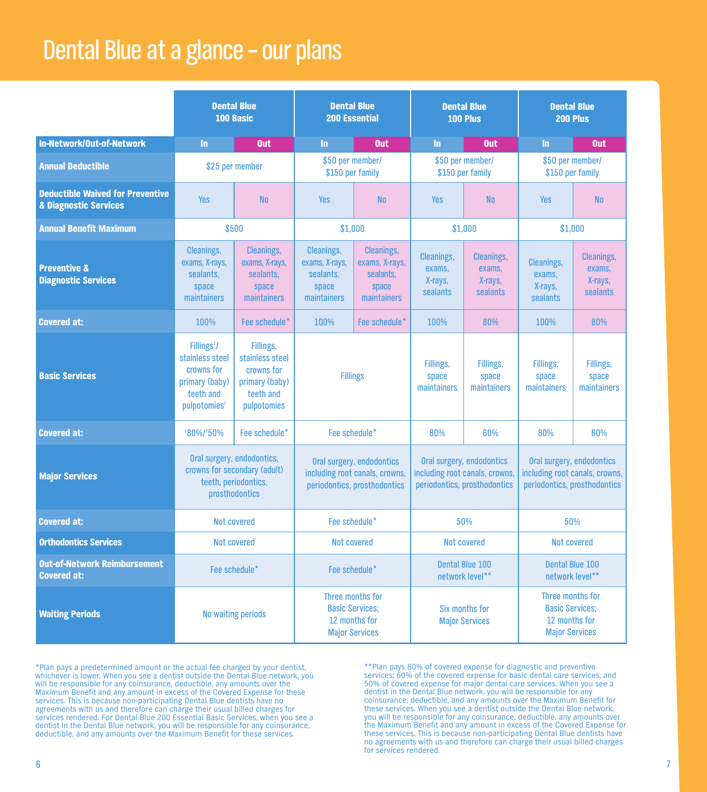## **Dental Blue at a glance – our plans**

|                                                                  | <b>Dental Blue</b><br>100 Basic                                                                                   |                                                                                          | <b>Dental Blue</b><br><b>200 Essential</b>                                                  |                                                                          |                                                                                             | <b>Dental Blue</b><br>100 Plus                     | <b>Dental Blue</b><br>200 Plus                                                       |                                                    |                                                                                             |  |
|------------------------------------------------------------------|-------------------------------------------------------------------------------------------------------------------|------------------------------------------------------------------------------------------|---------------------------------------------------------------------------------------------|--------------------------------------------------------------------------|---------------------------------------------------------------------------------------------|----------------------------------------------------|--------------------------------------------------------------------------------------|----------------------------------------------------|---------------------------------------------------------------------------------------------|--|
| In-Network/Out-of-Network                                        | In.                                                                                                               | Out                                                                                      | In.                                                                                         | <b>Out</b>                                                               | In.                                                                                         | Out                                                | $\ln$                                                                                | Out                                                |                                                                                             |  |
| <b>Annual Deductible</b>                                         | \$25 per member                                                                                                   |                                                                                          | \$50 per member/<br>\$150 per family                                                        |                                                                          | \$50 per member/                                                                            | \$150 per family                                   | \$50 per member/<br>\$150 per family                                                 |                                                    |                                                                                             |  |
| <b>Deductible Waived for Preventive</b><br>& Diagnostic Services | <b>Yes</b>                                                                                                        | <b>No</b>                                                                                | <b>Yes</b>                                                                                  | <b>No</b>                                                                | <b>Yes</b>                                                                                  | <b>No</b>                                          | <b>Yes</b>                                                                           | <b>No</b>                                          |                                                                                             |  |
| Annual Benefit Maximum                                           | \$500                                                                                                             |                                                                                          | \$1,000                                                                                     |                                                                          |                                                                                             | \$1,000                                            | \$1,000                                                                              |                                                    |                                                                                             |  |
| <b>Preventive &amp;</b><br><b>Diagnostic Services</b>            | <b>Cleanings.</b><br>exams, X-rays,<br>sealants,<br>space<br>maintainers                                          | <b>Cleanings.</b><br>exams, X-rays,<br>sealants,<br>space<br><b>maintainers</b>          | <b>Cleanings,</b><br>exams, X-rays,<br>sealants.<br>space<br>maintainers                    | <b>Cleanings,</b><br>exams, X-rays,<br>sealants.<br>space<br>maintainers | <b>Cleanings,</b><br>exams,<br>X-rays,<br>sealants                                          | <b>Cleanings.</b><br>exams,<br>X-rays,<br>sealants | <b>Cleanings.</b><br>exams,<br>X-rays,<br><b>sealants</b>                            | <b>Cleanings,</b><br>exams,<br>X-rays,<br>sealants |                                                                                             |  |
| <b>Covered at:</b>                                               | 100%                                                                                                              | Fee schedule*                                                                            | 100%                                                                                        | Fee schedule*                                                            | 100%                                                                                        | 80%                                                | 100%                                                                                 | 80%                                                |                                                                                             |  |
| <b>Basic Services</b>                                            | Fillings $1$ /<br>stainless steel<br>crowns for<br>primary (baby)<br>teeth and<br>pulpotomies <sup>2</sup>        | Fillings,<br>stainless steel<br>crowns for<br>primary (baby)<br>teeth and<br>pulpotomies | <b>Fillings</b>                                                                             |                                                                          | Fillings,<br>Fillings,<br>space<br>space<br>maintainers<br>maintainers                      |                                                    | Fillings,<br>space<br>maintainers                                                    | Fillings,<br>space<br>maintainers                  |                                                                                             |  |
| <b>Covered at:</b>                                               | 180%/250%                                                                                                         | Fee schedule*                                                                            | Fee schedule*                                                                               |                                                                          | 80%                                                                                         | 60%                                                | 80%                                                                                  | 60%                                                |                                                                                             |  |
| <b>Major Services</b>                                            | Oral surgery, endodontics,<br>crowns for secondary (adult)<br>teeth, periodontics,<br>prosthodontics              |                                                                                          | Oral surgery, endodontics<br>including root canals, crowns,<br>periodontics, prosthodontics |                                                                          | Oral surgery, endodontics<br>including root canals, crowns,<br>periodontics, prosthodontics |                                                    |                                                                                      |                                                    | Oral surgery, endodontics<br>including root canals, crowns,<br>periodontics, prosthodontics |  |
| <b>Covered at:</b>                                               | <b>Not covered</b>                                                                                                |                                                                                          | Fee schedule*                                                                               |                                                                          |                                                                                             | 50%                                                | 50%                                                                                  |                                                    |                                                                                             |  |
| <b>Orthodontics Services</b>                                     | <b>Not covered</b>                                                                                                |                                                                                          | <b>Not covered</b>                                                                          |                                                                          |                                                                                             | <b>Not covered</b>                                 | <b>Not covered</b>                                                                   |                                                    |                                                                                             |  |
| <b>Out-of-Network Reimbursement</b><br><b>Covered at:</b>        | Fee schedule*<br>Fee schedule*                                                                                    |                                                                                          |                                                                                             | <b>Dental Blue 100</b><br>network level**                                |                                                                                             |                                                    | <b>Dental Blue 100</b><br>network level**                                            |                                                    |                                                                                             |  |
| <b>Waiting Periods</b>                                           | Three months for<br><b>Basic Services:</b><br><b>No waiting periods</b><br>12 months for<br><b>Major Services</b> |                                                                                          |                                                                                             |                                                                          |                                                                                             | Six months for<br><b>Major Services</b>            | Three months for<br><b>Basic Services:</b><br>12 months for<br><b>Major Services</b> |                                                    |                                                                                             |  |

\*Plan pays a predetermined amount or the actual fee charged by your dentist,<br>whichever is lower. When you see a dentist outside the Dental Blue network, you **will be responsible for any coinsurance, deductible, any amounts over the** Maximum Benefit and any amount in excess of the Covered Expense for these<br>services. This is because non-participating Dental Blue dentists have no<br>agreements with us and therefore can charge their usual billed charges for **services rendered. For Dental Blue 200 Essential Basic Services, when you see a dentist in the Dental Blue network, you will be responsible for any coinsurance, deductible, and any amounts over the Maximum Benefit for these services.**

\*\*Plan pays 80% of covered expense for diagnostic and preventive<br>services; 60% of the covered expense for basic dental care services; and<br>50% of covered expense for major dental care services. When you see a dentist in the Dental Blue network, you will be responsible for any<br>coinsurance, deductible, and any amounts over the Maximum Benefit for<br>these services. When you see a dentist outside the Dental Blue network, **you will be responsible for any coinsurance, deductible, any amounts over** these services. This is because non-participating Dental Blue dentists have<br>no agreements with us and therefore can charge their usual billed charges<br>for services rendered.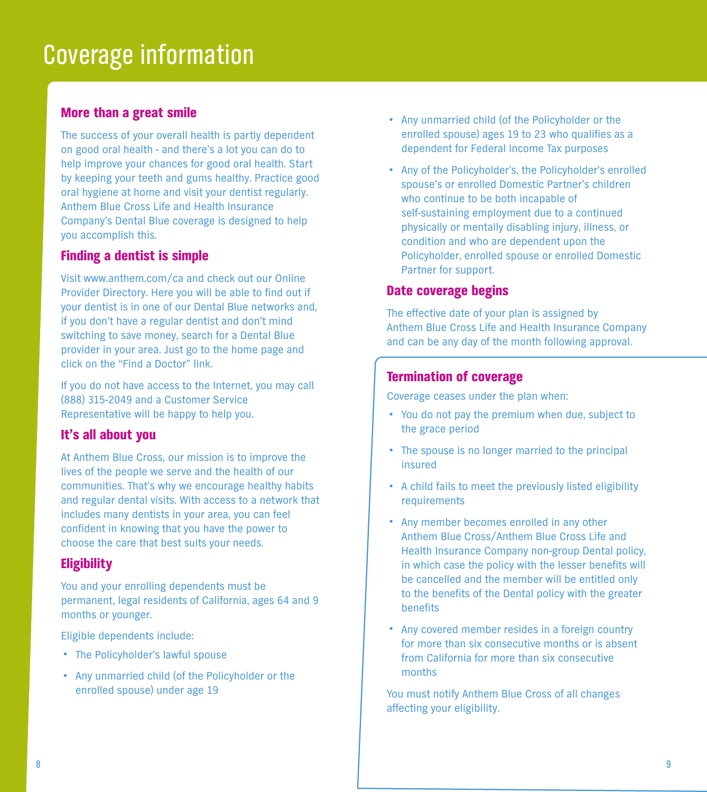## **Coverage information**

### **More than a great smile**

**The success of your overall health is partly dependent on good oral health - and there's a lot you can do to help improve your chances for good oral health. Start by keeping your teeth and gums healthy. Practice good oral hygiene at home and visit your dentist regularly. Anthem Blue Cross Life and Health Insurance Company's Dental Blue coverage is designed to help you accomplish this.**

### **Finding a dentist is simple**

**Visit www.anthem.com/ca and check out our Online Provider Directory. Here you will be able to find out if your dentist is in one of our Dental Blue networks and, if you don't have a regular dentist and don't mind switching to save money, search for a Dental Blue provider in your area. Just go to the home page and click on the "Find a Doctor" link.**

**If you do not have access to the Internet, you may call (888) 315-2049 and a Customer Service Representative will be happy to help you.**

### **It's all about you**

**At Anthem Blue Cross, our mission is to improve the lives of the people we serve and the health of our communities. That's why we encourage healthy habits and regular dental visits. With access to a network that includes many dentists in your area, you can feel confident in knowing that you have the power to choose the care that best suits your needs.**

### **Eligibility**

**You and your enrolling dependents must be permanent, legal residents of California, ages 64 and 9 months or younger.**

**Eligible dependents include:**

- **• The Policyholder's lawful spouse**
- **• Any unmarried child (of the Policyholder or the enrolled spouse) under age 19**
- **• Any unmarried child (of the Policyholder or the enrolled spouse) ages 19 to 23 who qualifies as a dependent for Federal Income Tax purposes**
- **• Any of the Policyholder's, the Policyholder's enrolled spouse's or enrolled Domestic Partner's children who continue to be both incapable of self-sustaining employment due to a continued physically or mentally disabling injury, illness, or condition and who are dependent upon the Policyholder, enrolled spouse or enrolled Domestic Partner for support.**

### **Date coverage begins**

**The effective date of your plan is assigned by Anthem Blue Cross Life and Health Insurance Company and can be any day of the month following approval.**

### **Termination of coverage**

**Coverage ceases under the plan when:**

- **• You do not pay the premium when due, subject to the grace period**
- **• The spouse is no longer married to the principal insured**
- **• <sup>A</sup> child fails to meet the previously listed eligibility requirements**
- **• Any member becomes enrolled in any other Anthem Blue Cross/Anthem Blue Cross Life and Health Insurance Company non-group Dental policy, in which case the policy with the lesser benefits will be cancelled and the member will be entitled only to the benefits of the Dental policy with the greater benefits**
- **• Any covered member resides in <sup>a</sup> foreign country for more than six consecutive months or is absent from California for more than six consecutive months**

**You must notify Anthem Blue Cross of all changes affecting your eligibility.**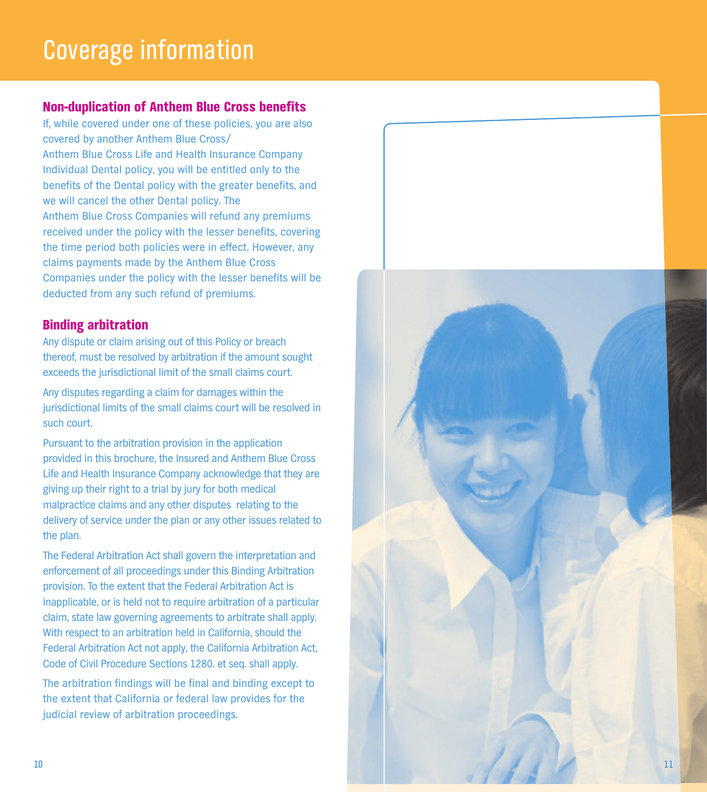## **C o v e r a g e n f o r m a t o n**

## **Non-duplication of Anthem Blue Cross benefits**

If, while covered under one of these policies, you are also covered by another Anthem Blue Cross/ Anthem Blue Cross Life and Health Insurance Company Individual Dental policy, you will be entitled only to the benefits of the Dental policy with the greater benefits, and we will cancel the other Dental policy. The Anthem Blue Cross Companies will refund any premiums received under the policy with the lesser benefits, covering the time period both policies were in effect. However, any claims payments made by the Anthem Blue Cross Companies under the policy with the lesser benefits will be deducted from any such refund of premiums.

## **Binding arbitration**

Any dispute or claim arising out of this Policy or breach thereof, must be resolved by arbitration if the amount sought exceeds the jurisdictional limit of the small claims court.

Any disputes regarding a claim for damages within the jurisdictional limits of the small claims court will be resolved in such court.

Pursuant to the arbitration provision in the application provided in this brochure, the Insured and Anthem Blue Cross Life and Health Insurance Company acknowledge that they are giving up their right to a trial by jury for both medical malpractice claims and any other disputes relating to the delivery of service under the plan or any other issues related to the plan.

The Federal Arbitration Act shall govern the interpretation and enforcement of all proceedings under this Binding Arbitration provision. To the extent that the Federal Arbitration Act is inapplicable, or is held not to require arbitration of a particular claim, state law governing agreements to arbitrate shall apply. With respect to an arbitration held in California, should the Federal Arbitration Act not apply, the California Arbitration Act, Code of Civil Procedure Sections 1280. et seq. shall apply.

The arbitration findings will be final and binding except to the extent that California or federal law provides for the judicial review of arbitration proceedings.

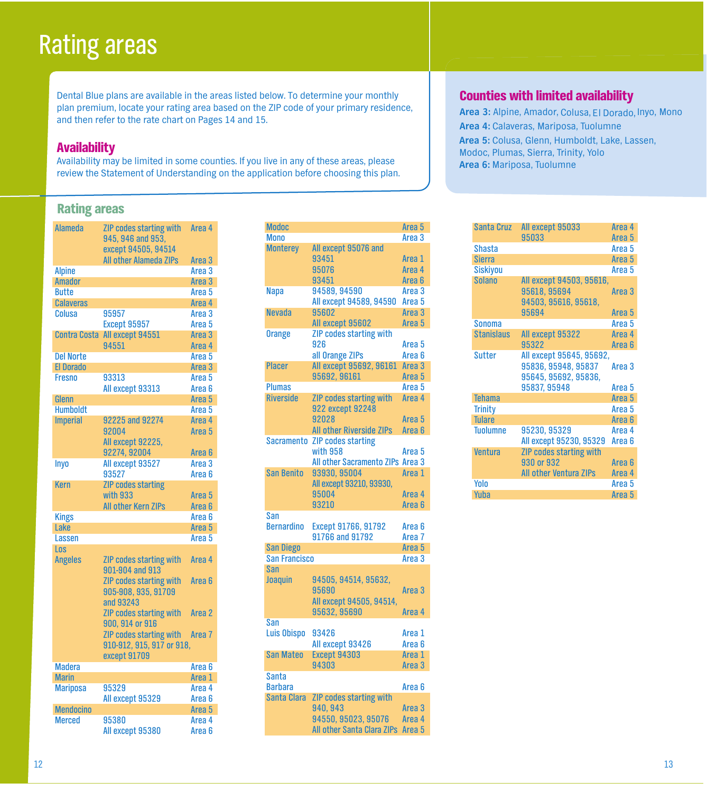## **Rating areas**

**Dental Blue plans are available in the areas listed below. To determine your monthly plan premium, locate your rating area based on the ZIP code of your primary residence, and then refer to the rate chart on Pages 14 and 15.**

### **Availability**

**Availability may be limited in some counties. If you live in any of these areas, please review the Statement of Understanding on the application before choosing this plan.**

## **Rating areas**

| <b>Alameda</b>      | ZIP codes starting with<br>945, 946 and 953,                | Area <sub>4</sub> |
|---------------------|-------------------------------------------------------------|-------------------|
|                     | except 94505, 94514<br><b>All other Alameda ZIPs</b>        | Area <sub>3</sub> |
| <b>Alpine</b>       |                                                             | Area <sub>3</sub> |
| <b>Amador</b>       |                                                             | Area <sub>3</sub> |
| <b>Butte</b>        |                                                             | Area 5            |
| <b>Calaveras</b>    |                                                             | Area <sub>4</sub> |
| Colusa              | 95957                                                       | Area <sub>3</sub> |
|                     | <b>Except 95957</b>                                         | Area 5            |
| <b>Contra Costa</b> | All except 94551                                            | Area <sub>3</sub> |
|                     | 94551                                                       | Area 4            |
| <b>Del Norte</b>    |                                                             | Area <sub>5</sub> |
| <b>El Dorado</b>    |                                                             | Area <sub>3</sub> |
| <b>Fresno</b>       | 93313                                                       | Area 5            |
|                     | All except 93313                                            | Area <sub>6</sub> |
| Glenn               |                                                             | Area <sub>5</sub> |
| <b>Humboldt</b>     |                                                             | Area <sub>5</sub> |
| <b>Imperial</b>     | 92225 and 92274                                             | Area 4            |
|                     | 92004                                                       | Area 5            |
|                     | All except 92225,                                           |                   |
|                     | 92274, 92004                                                | Area 6            |
| Inyo                | All except 93527                                            | Area <sub>3</sub> |
|                     | 93527                                                       | Area 6            |
| Kern                | <b>ZIP codes starting</b>                                   |                   |
|                     | with 933                                                    | Area 5            |
|                     | <b>All other Kern ZIPs</b>                                  | Area <sub>6</sub> |
| <b>Kings</b>        |                                                             | Area 6            |
| Lake                |                                                             | Area <sub>5</sub> |
| Lassen              |                                                             | Area 5            |
| Los                 |                                                             |                   |
| <b>Angeles</b>      | <b>ZIP codes starting with</b><br>901-904 and 913           | Area 4            |
|                     | ZIP codes starting with<br>905-908, 935, 91709<br>and 93243 | Area <sub>6</sub> |
|                     | <b>ZIP codes starting with</b><br>900, 914 or 916           | Area 2            |
|                     | ZIP codes starting with<br>910-912, 915, 917 or 918,        | Area <sub>7</sub> |
|                     | except 91709                                                |                   |
| <b>Madera</b>       |                                                             | Area <sub>6</sub> |
| <b>Marin</b>        |                                                             | Area 1            |
| <b>Mariposa</b>     | 95329                                                       | Area <sub>4</sub> |
|                     | All except 95329                                            | Area <sub>6</sub> |
| <b>Mendocino</b>    |                                                             | Area <sub>5</sub> |
| <b>Merced</b>       | 95380                                                       | Area 4            |
|                     | All except 95380                                            | Area 6            |

| <b>Modoc</b>         |                                   | Area <sub>5</sub> |
|----------------------|-----------------------------------|-------------------|
| <b>Mono</b>          |                                   | Area <sub>3</sub> |
| <b>Monterey</b>      | All except 95076 and              |                   |
|                      | 93451                             | Area 1            |
|                      | 95076                             | Area 4            |
|                      | 93451                             | Area <sub>6</sub> |
| <b>Napa</b>          | 94589, 94590                      | Area <sub>3</sub> |
|                      | All except 94589, 94590           | Area <sub>5</sub> |
| <b>Nevada</b>        | 95602                             | Area <sub>3</sub> |
|                      | All except 95602                  | Area <sub>5</sub> |
| <b>Orange</b>        | <b>ZIP codes starting with</b>    |                   |
|                      | 926                               | Area 5            |
|                      | all Orange ZIPs                   | Area <sub>6</sub> |
| <b>Placer</b>        | All except 95692, 96161           | Area <sub>3</sub> |
|                      | 95692, 96161                      | Area <sub>5</sub> |
| <b>Plumas</b>        |                                   | Area <sub>5</sub> |
| <b>Riverside</b>     |                                   | Area <sub>4</sub> |
|                      | <b>ZIP codes starting with</b>    |                   |
|                      | 922 except 92248                  |                   |
|                      | 92028                             | Area <sub>5</sub> |
|                      | <b>All other Riverside ZIPs</b>   | Area <sub>6</sub> |
| Sacramento           | <b>ZIP codes starting</b>         |                   |
|                      | with 958                          | Area <sub>5</sub> |
|                      | All other Sacramento ZIPs Area 3  |                   |
| <b>San Benito</b>    | 93930, 95004                      | Area <sub>1</sub> |
|                      | All except 93210, 93930,          |                   |
|                      | 95004                             | Area 4            |
|                      | 93210                             | Area <sub>6</sub> |
| San                  |                                   |                   |
| <b>Bernardino</b>    | Except 91766, 91792               | Area <sub>6</sub> |
|                      | 91766 and 91792                   | Area <sub>7</sub> |
| <b>San Diego</b>     |                                   | Area <sub>5</sub> |
| <b>San Francisco</b> |                                   | Area <sub>3</sub> |
| San                  |                                   |                   |
| Joaquin              | 94505, 94514, 95632,              |                   |
|                      | 95690                             | Area <sub>3</sub> |
|                      | All except 94505, 94514,          |                   |
|                      | 95632, 95690                      | Area 4            |
| San                  |                                   |                   |
| <b>Luis Obispo</b>   | 93426                             | Area 1            |
|                      | All except 93426                  | Area <sub>6</sub> |
| <b>San Mateo</b>     | <b>Except 94303</b>               | Area 1            |
|                      | 94303                             | Area <sub>3</sub> |
| <b>Santa</b>         |                                   |                   |
| <b>Barbara</b>       |                                   | Area <sub>6</sub> |
| Santa Clara          | <b>ZIP codes starting with</b>    |                   |
|                      | 940, 943                          | Area <sub>3</sub> |
|                      | 94550, 95023, 95076               | Area 4            |
|                      | <b>All other Santa Clara ZIPs</b> | Area <sub>5</sub> |
|                      |                                   |                   |

## **Counties with limited availability**

**Area 3: Alpine, Amador, El Dorado, Inyo, Mono Colusa, Area 4: Calaveras, Mariposa, Tuolumne Area 5: Colusa, Glenn, Humboldt, Lake, Lassen, Modoc, Plumas, Sierra, Trinity, Yolo Area 6: Mariposa, Tuolumne**

| All except 95033                                                                                |                             |
|-------------------------------------------------------------------------------------------------|-----------------------------|
| 95033                                                                                           | Area <sub>5</sub>           |
| <b>Shasta</b>                                                                                   | Area <sub>5</sub>           |
| <b>Sierra</b>                                                                                   | Area <sub>5</sub>           |
| <b>Siskiyou</b>                                                                                 | Area 5                      |
| <b>Solano</b><br>All except 94503, 95616,<br>95618, 95694<br>94503, 95616, 95618,               | Area <sub>3</sub>           |
| 95694                                                                                           | Area 5                      |
| <b>Sonoma</b>                                                                                   | Area 5                      |
| <b>Stanislaus</b><br>All except 95322                                                           | Area 4                      |
| 95322                                                                                           | Area <sub>6</sub>           |
| All except 95645, 95692,<br><b>Sutter</b><br>95836, 95948, 95837<br>95645, 95692, 95836,        | Area 3                      |
| 95837, 95948                                                                                    | Area 5                      |
| <b>Tehama</b>                                                                                   | Area <sub>5</sub>           |
| <b>Trinity</b>                                                                                  | Area 5                      |
| <b>Tulare</b>                                                                                   | Area <sub>6</sub>           |
| <b>Tuolumne</b><br>95230, 95329<br>All except 95230, 95329                                      | Area 4<br>Area <sub>6</sub> |
| <b>ZIP codes starting with</b><br><b>Ventura</b><br>930 or 932<br><b>All other Ventura ZIPs</b> | Area 6<br>Area 4            |
| Yolo                                                                                            | Area 5                      |
| Yuba                                                                                            | Area <sub>5</sub>           |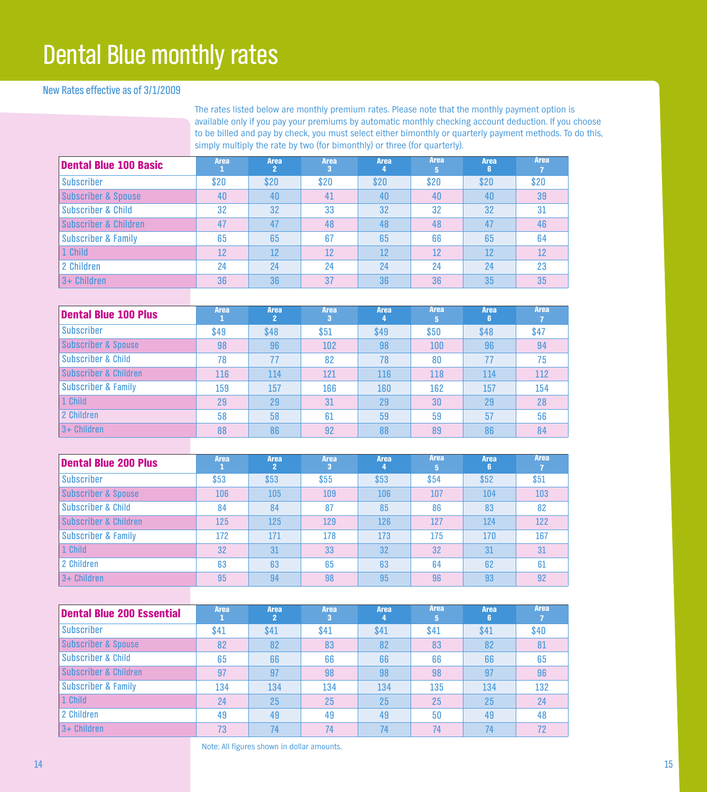## **Dental Blue monthly rates**

### **New Rates effective as of 3/1/2009**

**The rates listed below are monthly premium rates. Please note that the monthly payment option is available only if you pay your premiums by automatic monthly checking account deduction. If you choose** to be billed and pay by check, you must select either bimonthly or quarterly payment methods. To do this, **simply multiply the rate by two (for bimonthly) or three (for quarterly).**

| Dental Blue 100 Basic          | <b>Area</b> | <b>Area</b><br>2 | <b>Area</b><br>з | <b>Area</b><br>4 | <b>Area</b><br>5 | Area<br><b>R</b> | Area |
|--------------------------------|-------------|------------------|------------------|------------------|------------------|------------------|------|
| <b>Subscriber</b>              | \$20        | \$20             | \$20             | \$20             | \$20             | \$20             | \$20 |
| <b>Subscriber &amp; Spouse</b> | 40          | 40               | 41               | 40               | 40               | 40               | 39   |
| Subscriber & Child             | 32          | 32               | 33               | 32               | 32               | 32               | 31   |
| Subscriber & Children          | 47          | 47               | 48               | 48               | 48               | 47               | 46   |
| <b>Subscriber &amp; Family</b> | 65          | 65               | 67               | 65               | 66               | 65               | 64   |
| 1 Child                        | 12          | 12               | 12               | 12               | 12               | 12               | 12   |
| l 2 Children                   | 24          | 24               | 24               | 24               | 24               | 24               | 23   |
| $3 +$ Children                 | 36          | 36               | 37               | 36               | 36               | 35               | 35   |

| Dental Blue 100 Plus             | <b>Area</b> | <b>Area</b><br>2 | <b>Area</b><br>з | <b>Area</b><br>4 | Area<br>5 | Area<br>6 | <b>Area</b> |
|----------------------------------|-------------|------------------|------------------|------------------|-----------|-----------|-------------|
| <b>Subscriber</b>                | \$49        | \$48             | \$51             | \$49             | \$50      | \$48      | \$47        |
| Subscriber & Spouse              | 98          | 96               | 102              | 98               | 100       | 96        | 94          |
| <b>Subscriber &amp; Child</b>    | 78          | 77               | 82               | 78               | 80        | 77        | 75          |
| <b>Subscriber &amp; Children</b> | 116         | 114              | 121              | 116              | 118       | 114       | 112         |
| <b>Subscriber &amp; Family</b>   | 159         | 157              | 166              | 160              | 162       | 157       | 154         |
| 1 Child                          | 29          | 29               | 31               | 29               | 30        | 29        | 28          |
| 2 Children                       | 58          | 58               | 61               | 59               | 59        | 57        | 56          |
| 13+ Children                     | 88          | 86               | 92               | 88               | 89        | 86        | 84          |

| Dental Blue 200 Plus           | Area | Area<br>2 | <b>Area</b><br>3 | Area | <b>Area</b><br>5 | <b>Area</b><br>R | <b>Area</b> |
|--------------------------------|------|-----------|------------------|------|------------------|------------------|-------------|
| <b>Subscriber</b>              | \$53 | \$53      | \$55             | \$53 | \$54             | \$52             | \$51        |
| <b>Subscriber &amp; Spouse</b> | 106  | 105       | 109              | 106  | 107              | 104              | 103         |
| Subscriber & Child             | 84   | 84        | 87               | 85   | 86               | 83               | 82          |
| Subscriber & Children          | 125  | 125       | 129              | 126  | 127              | 124              | 122         |
| <b>Subscriber &amp; Family</b> | 172  | 171       | 178              | 173  | 175              | 170              | 167         |
| 1 Child                        | 32   | 31        | 33               | 32   | 32               | 31               | 31          |
| 2 Children                     | 63   | 63        | 65               | 63   | 64               | 62               | 61          |
| $3 +$ Children                 | 95   | 94        | 98               | 95   | 96               | 93               | 92          |

| <b>Dental Blue 200 Essential</b> | <b>Area</b> | <b>Area</b><br>2 | <b>Area</b><br>3 | Area | <b>Area</b><br>5 | <b>Area</b> | <b>Area</b> |
|----------------------------------|-------------|------------------|------------------|------|------------------|-------------|-------------|
| Subscriber                       | \$41        | \$41             | \$41             | \$41 | \$41             | \$41        | \$40        |
| <b>Subscriber &amp; Spouse</b>   | 82          | 82               | 83               | 82   | 83               | 82          | 81          |
| Subscriber & Child               | 65          | 66               | 66               | 66   | 66               | 66          | 65          |
| Subscriber & Children            | 97          | 97               | 98               | 98   | 98               | 97          | 96          |
| <b>Subscriber &amp; Family</b>   | 134         | 134              | 134              | 134  | 135              | 134         | 132         |
| 1 Child                          | 24          | 25               | 25               | 25   | 25               | 25          | 24          |
| 2 Children                       | 49          | 49               | 49               | 49   | 50               | 49          | 48          |
| $3 +$ Children                   | 73          | 74               | 74               | 74   | 74               | 74          | 72          |

**Note: All figures shown in dollar amounts.**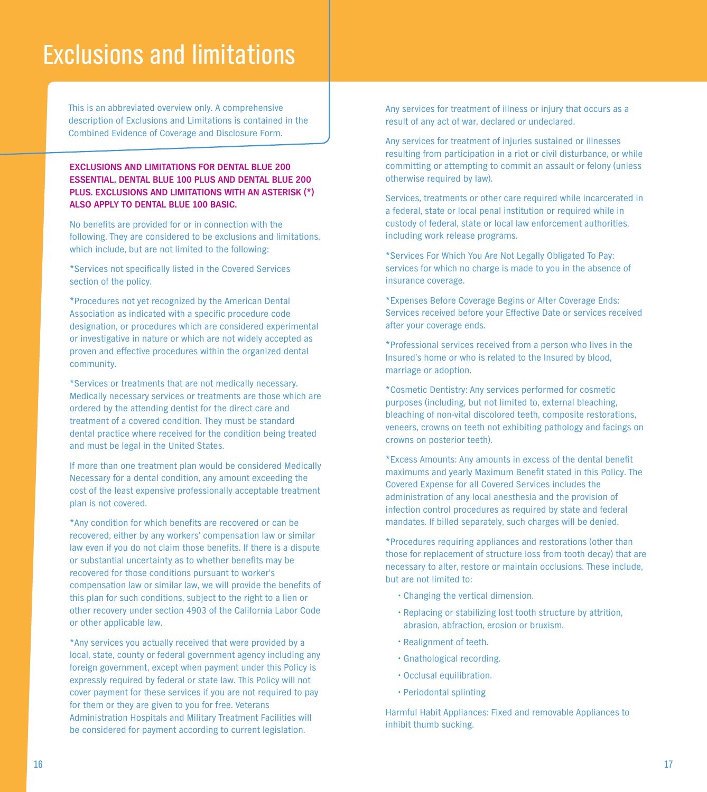## **Exclusions and limitations**

**This is an abbreviated overview only. A comprehensive description of Exclusions and Limitations is contained in the Combined Evidence of Coverage and Disclosure Form.**

#### **EXCLUSIONS AND LIMITATIONS FOR DENTAL BLUE 200 ESSENTIAL, DENTAL BLUE 100 PLUS AND DENTAL BLUE 200 PLUS. EXCLUSIONS AND LIMITATIONS WITH AN ASTERISK (\*) ALSO APPLY TO DENTAL BLUE 100 BASIC.**

**No benefits are provided for or in connection with the following. They are considered to be exclusions and limitations, which include, but are not limited to the following:**

**\*Services not specifically listed in the Covered Services section of the policy.**

**\*Procedures not yet recognized by the American Dental Association as indicated with a specific procedure code designation, or procedures which are considered experimental or investigative in nature or which are not widely accepted as proven and effective procedures within the organized dental community.**

**\*Services or treatments that are not medically necessary. Medically necessary services or treatments are those which are ordered by the attending dentist for the direct care and treatment of a covered condition. They must be standard dental practice where received for the condition being treated and must be legal in the United States.**

**If more than one treatment plan would be considered Medically Necessary for a dental condition, any amount exceeding the cost of the least expensive professionally acceptable treatment plan is not covered.**

**\*Any condition for which benefits are recovered or can be recovered, either by any workers' compensation law or similar law even if you do not claim those benefits. If there is a dispute or substantial uncertainty as to whether benefits may be recovered for those conditions pursuant to worker's compensation law or similar law, we will provide the benefits of this plan for such conditions, subject to the right to a lien or other recovery under section 4903 of the California Labor Code or other applicable law.**

**\*Any services you actually received that were provided by a local, state, county or federal government agency including any foreign government, except when payment under this Policy is expressly required by federal or state law. This Policy will not cover payment for these services if you are not required to pay for them or they are given to you for free. Veterans Administration Hospitals and Military Treatment Facilities will be considered for payment according to current legislation.**

**Any services for treatment of illness or injury that occurs as a result of any act of war, declared or undeclared.**

**Any services for treatment of injuries sustained or illnesses resulting from participation in a riot or civil disturbance, or while committing or attempting to commit an assault or felony (unless otherwise required by law).**

**Services, treatments or other care required while incarcerated in a federal, state or local penal institution or required while in custody of federal, state or local law enforcement authorities, including work release programs.**

**\*Services For Which You Are Not Legally Obligated To Pay: services for which no charge is made to you in the absence of insurance coverage.**

**\*Expenses Before Coverage Begins or After Coverage Ends: Services received before your Effective Date or services received after your coverage ends.**

**\*Professional services received from a person who lives in the Insured's home or who is related to the Insured by blood, marriage or adoption.**

**\*Cosmetic Dentistry: Any services performed for cosmetic purposes (including, but not limited to, external bleaching, bleaching of non-vital discolored teeth, composite restorations, veneers, crowns on teeth not exhibiting pathology and facings on crowns on posterior teeth).**

**\*Excess Amounts: Any amounts in excess of the dental benefit maximums and yearly Maximum Benefit stated in this Policy. The Covered Expense for all Covered Services includes the administration of any local anesthesia and the provision of infection control procedures as required by state and federal mandates. If billed separately, such charges will be denied.**

**\*Procedures requiring appliances and restorations (other than those for replacement of structure loss from tooth decay) that are necessary to alter, restore or maintain occlusions. These include, but are not limited to:**

- **•Changing the vertical dimension.**
- **•Replacing or stabilizing lost tooth structure by attrition, abrasion, abfraction, erosion or bruxism.**
- **•Realignment of teeth.**
- **•Gnathological recording.**
- **•Occlusal equilibration.**
- **• Periodontal splinting**

**Harmful Habit Appliances: Fixed and removable Appliances to inhibit thumb sucking.**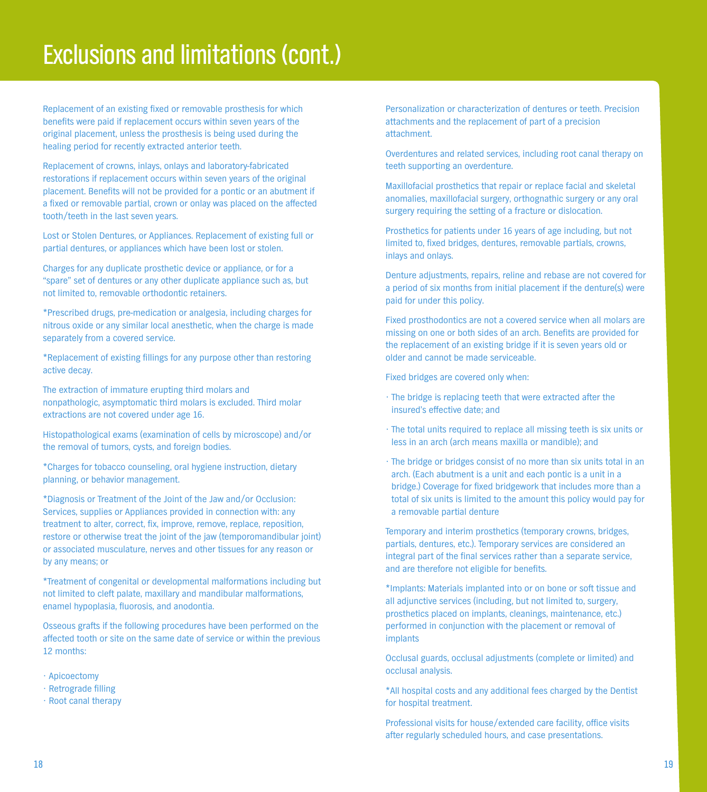## **Exclusions and limitations(cont.)**

**Replacement of an existing fixed or removable prosthesis for which benefits were paid if replacement occurs within seven years of the original placement, unless the prosthesis is being used during the healing period for recently extracted anterior teeth.**

**Replacement of crowns, inlays, onlays and laboratory-fabricated restorations if replacement occurs within seven years of the original placement. Benefits will not be provided for a pontic or an abutment if a fixed or removable partial, crown or onlay was placed on the affected tooth/teeth in the last seven years.**

**Lost or Stolen Dentures, or Appliances. Replacement of existing full or partial dentures, or appliances which have been lost or stolen.**

**Charges for any duplicate prosthetic device or appliance, or for a "spare" set of dentures or any other duplicate appliance such as, but not limited to, removable orthodontic retainers.**

**\*Prescribed drugs, pre-medication or analgesia, including charges for nitrous oxide or any similar local anesthetic, when the charge is made separately from a covered service.**

**\*Replacement of existing fillings for any purpose other than restoring active decay.**

**The extraction of immature erupting third molars and nonpathologic, asymptomatic third molars is excluded. Third molar extractions are not covered under age 16.**

**Histopathological exams (examination of cells by microscope) and/or the removal of tumors, cysts, and foreign bodies.**

**\*Charges for tobacco counseling, oral hygiene instruction, dietary planning, or behavior management.**

**\*Diagnosis or Treatment of the Joint of the Jaw and/or Occlusion: Services, supplies or Appliances provided in connection with: any treatment to alter, correct, fix, improve, remove, replace, reposition, restore or otherwise treat the joint of the jaw (temporomandibular joint) or associated musculature, nerves and other tissues for any reason or by any means; or**

**\*Treatment of congenital or developmental malformations including but not limited to cleft palate, maxillary and mandibular malformations, enamel hypoplasia, fluorosis, and anodontia.**

**Osseous grafts if the following procedures have been performed on the affected tooth or site on the same date of service or within the previous 12 months:**

**• Apicoectomy**

- **• Retrograde filling**
- **• Root canal therapy**

**Personalization or characterization of dentures or teeth. Precision attachments and the replacement of part of a precision attachment.**

**Overdentures and related services, including root canal therapy on teeth supporting an overdenture.**

**Maxillofacial prosthetics that repair or replace facial and skeletal anomalies, maxillofacial surgery, orthognathic surgery or any oral surgery requiring the setting of a fracture or dislocation.**

**Prosthetics for patients under 16 years of age including, but not limited to, fixed bridges, dentures, removable partials, crowns, inlays and onlays.**

**Denture adjustments, repairs, reline and rebase are not covered for a period of six months from initial placement if the denture(s) were paid for under this policy.**

**Fixed prosthodontics are not a covered service when all molars are missing on one or both sides of an arch. Benefits are provided for the replacement of an existing bridge if it is seven years old or older and cannot be made serviceable.**

**Fixed bridges are covered only when:**

- **• The bridge is replacing teeth that were extracted after the insured's effective date; and**
- **• The total units required to replace all missing teeth is six units or less in an arch (arch means maxilla or mandible); and**
- **• The bridge or bridges consist of no more than six units total in an arch. (Each abutment is a unit and each pontic is a unit in a bridge.) Coverage for fixed bridgework that includes more than a total of six units is limited to the amount this policy would pay for a removable partial denture**

**Temporary and interim prosthetics (temporary crowns, bridges, partials, dentures, etc.). Temporary services are considered an integral part of the final services rather than a separate service, and are therefore not eligible for benefits.**

**\*Implants: Materials implanted into or on bone or soft tissue and all adjunctive services (including, but not limited to, surgery, prosthetics placed on implants, cleanings, maintenance, etc.) performed in conjunction with the placement or removal of implants**

**Occlusal guards, occlusal adjustments (complete or limited) and occlusal analysis.**

**\*All hospital costs and any additional fees charged by the Dentist for hospital treatment.**

**Professional visits for house/extended care facility, office visits after regularly scheduled hours, and case presentations.**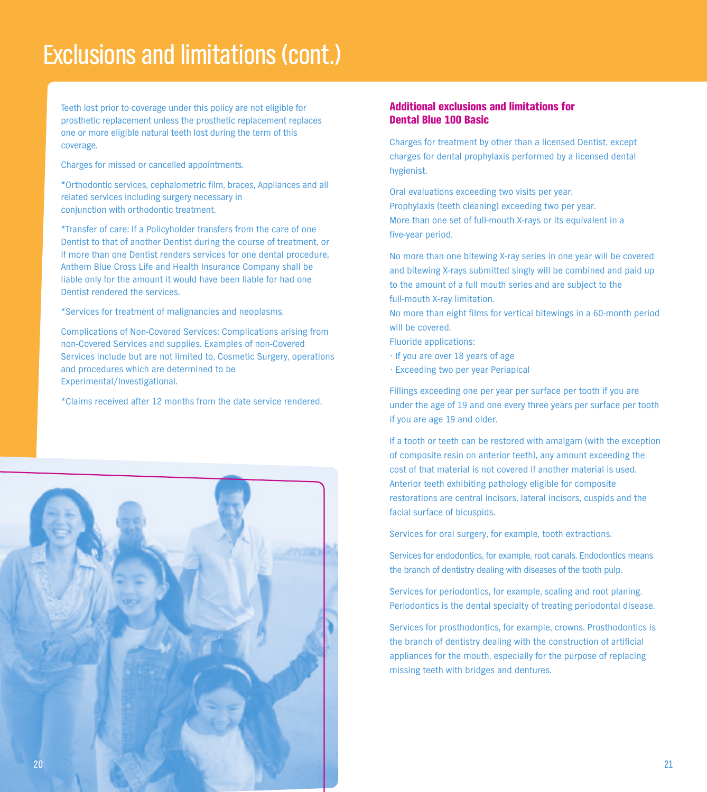## **Exclusions and limitations(cont.)**

**Teeth lost prior to coverage under this policy are not eligible for prosthetic replacement unless the prosthetic replacement replaces one or more eligible natural teeth lost during the term of this coverage.**

**Charges for missed or cancelled appointments.**

**\*Orthodontic services, cephalometric film, braces, Appliances and all related services including surgery necessary in conjunction with orthodontic treatment.**

**\*Transfer of care: If a Policyholder transfers from the care of one Dentist to that of another Dentist during the course of treatment, or if more than one Dentist renders services for one dental procedure, Anthem Blue Cross Life and Health Insurance Company shall be liable only for the amount it would have been liable for had one Dentist rendered the services.**

**\*Services for treatment of malignancies and neoplasms.**

**Complications of Non-Covered Services: Complications arising from non-Covered Services and supplies. Examples of non-Covered Services include but are not limited to, Cosmetic Surgery, operations and procedures which are determined to be Experimental/Investigational.**

**\*Claims received after 12 months from the date service rendered.**



#### **Additional exclusions and limitations for Dental Blue 100 Basic**

**Charges for treatment by other than a licensed Dentist, except charges for dental prophylaxis performed by a licensed dental hygienist.**

**Oral evaluations exceeding two visits per year. Prophylaxis (teeth cleaning) exceeding two per year. More than one set of full-mouth X-rays or its equivalent in a five-year period.**

**No more than one bitewing X-ray series in one year will be covered and bitewing X-rays submitted singly will be combined and paid up to the amount of a full mouth series and are subject to the full-mouth X-ray limitation.**

**No more than eight films for vertical bitewings in a 60-month period will be covered.**

**Fluoride applications:**

- **• If you are over 18 years of age**
- **• Exceeding two per year Periapical**

**Fillings exceeding one per year per surface per tooth if you are under the age of 19 and one every three years per surface per tooth if you are age 19 and older.**

**If a tooth or teeth can be restored with amalgam (with the exception of composite resin on anterior teeth), any amount exceeding the cost of that material is not covered if another material is used. Anterior teeth exhibiting pathology eligible for composite restorations are central incisors, lateral incisors, cuspids and the facial surface of bicuspids.**

**Services for oral surgery, for example, tooth extractions.**

**Services for endodontics, for example, root canals. Endodontics means the branch of dentistry dealing with diseases of the tooth pulp.**

**Services for periodontics, for example, scaling and root planing. Periodontics is the dental specialty of treating periodontal disease.**

**Services for prosthodontics, for example, crowns. Prosthodontics is the branch of dentistry dealing with the construction of artificial appliances for the mouth, especially for the purpose of replacing missing teeth with bridges and dentures.**

**21**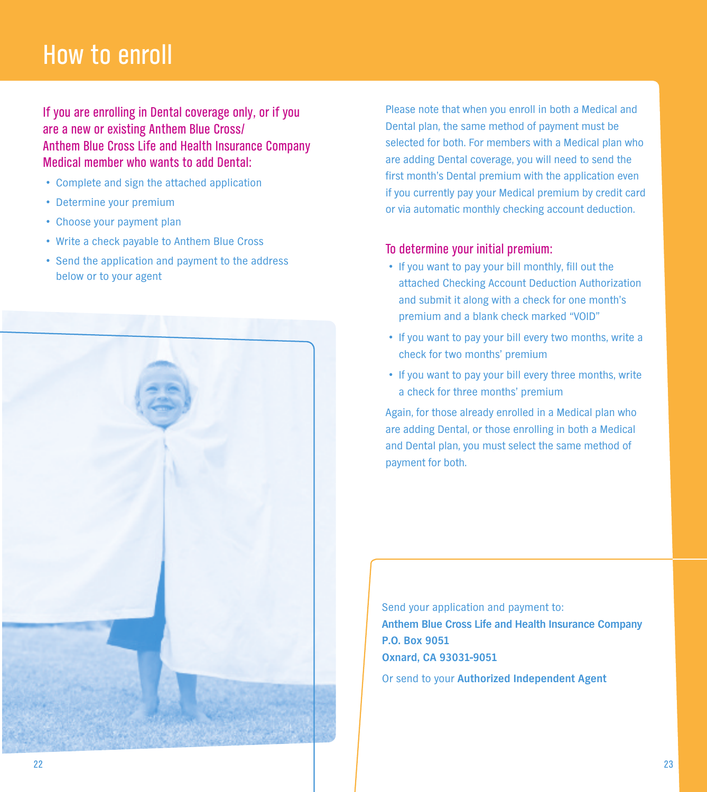## **How to enroll**

**If you are enrolling in Dental coverage only, or if you are a new or existing Anthem Blue Cross/ Anthem Blue Cross Life and Health Insurance Company Medical member who wants to add Dental:**

- **• Complete and sign the attached application**
- **• Determine your premium**
- **• Choose your payment plan**
- **• Write <sup>a</sup> check payable to Anthem Blue Cross**
- **• Send the application and payment to the address below or to your agent**



**Please note that when you enroll in both a Medical and Dental plan, the same method of payment must be selected for both. For members with a Medical plan who are adding Dental coverage, you will need to send the first month's Dental premium with the application even if you currently pay your Medical premium by credit card or via automatic monthly checking account deduction.**

### **To determine your initial premium:**

- **•If you want to pay your bill monthly, fill out the attached Checking Account Deduction Authorization and submit it along with a check for one month's premium and a blank check marked "VOID"**
- **•If you want to pay your bill every two months, write <sup>a</sup> check for two months' premium**
- **•If you want to pay your bill every three months, write a check for three months' premium**

**Again, for those already enrolled in a Medical plan who are adding Dental, or those enrolling in both a Medical and Dental plan, you must select the same method of payment for both.**

**Send your application and payment to: Anthem Blue Cross Life and Health Insurance Company P.O. Box 9051 Oxnard, CA 93031-9051**

**Or send to your Authorized Independent Agent**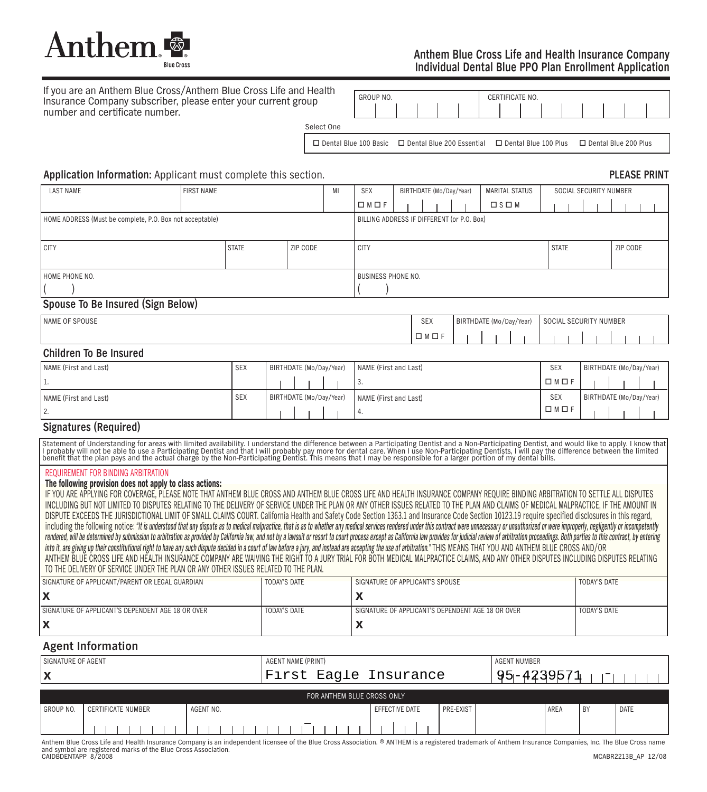

#### **Anthem Blue Cross Life and Health Insurance Company Individual Dental Blue PPO Plan Enrollment Application**

| If you are an Anthem Blue Cross/Anthem Blue Cross Life and Health<br>Insurance Company subscriber, please enter your current group |            | GROUP NO. |  |  |  | CERTIFICATE NO. |  |  |  |
|------------------------------------------------------------------------------------------------------------------------------------|------------|-----------|--|--|--|-----------------|--|--|--|
| number and certificate number.                                                                                                     |            |           |  |  |  |                 |  |  |  |
|                                                                                                                                    | Select One |           |  |  |  |                 |  |  |  |

**Dental Blue 100 Basic Dental Blue 200 Essential Dental Blue 100 Plus Dental Blue 200 Plus**

#### **Application Information: Applicant must complete this section. PLEASE PRINT**

## **LAST NAME FIRST NAME MI SEX BIRTHDATE (Mo/Day/Year) MARITAL STATUS SOCIAL SECURITY NUMBER CADE** | | | | | | | **ISOM HOME ADDRESS (Must be complete, P.O. Box not acceptable) BILLING ADDRESS IF DIFFERENT (or P.O. Box) CITY STATE ZIP CODE CITY STATE ZIP CODE HOME PHONE NO. BUSINESS PHONE NO. ( ) ( )**

#### **Spouse To Be Insured (Sign Below)**

| I NAME OF SPOUSE | $\bigcap_{i=1}^{n}$<br><b>SEX</b> | <b>BIRTHDATE</b><br>(Mo/Day/Year) |  |  |  | <b>SOCIAL</b><br><b>SECURITY NUMBER</b> |  |  |  |  |  |  |  |
|------------------|-----------------------------------|-----------------------------------|--|--|--|-----------------------------------------|--|--|--|--|--|--|--|
|                  |                                   |                                   |  |  |  |                                         |  |  |  |  |  |  |  |

#### **Children To Be Insured**

| NAME (First and Last) | <b>SEX</b> | BIRTHDATE (Mo/Day/Year) | NAME (First and Last) | <b>SEX</b>              | BIRTHDATE (Mo/Day/Year) |
|-----------------------|------------|-------------------------|-----------------------|-------------------------|-------------------------|
|                       |            |                         | . ن                   | $\square$ M $\square$ F |                         |
| NAME (First and Last) | ' SEX      | BIRTHDATE (Mo/Day/Year) | NAME (First and Last) | <b>SEX</b>              | BIRTHDATE (Mo/Day/Year) |
| Ζ.                    |            |                         | ' 4.                  | $\Box M \Box F$         |                         |

#### **Signatures (Required)**

Statement of Understanding for areas with limited availability. I understand the difference between a Participating Dentist and a Non-Participating Dentist, and would like to apply. I know that<br>I probably will not be able

#### **REQUIREMENT FOR BINDING ARBITRATION**

#### **The following provision does not apply to class actions:**

IF YOU ARE APPLYING FOR COVERAGE, PLEASE NOTE THAT ANTHEM BLUE CROSS AND ANTHEM BLUE CROSS LIFE AND HEALTH INSURANCE COMPANY REQUIRE BINDING ARBITRATION TO SETTLE ALL DISPUTES INCLUDING BUT NOT LIMITED TO DISPUTES RELATING TO THE DELIVERY OF SERVICE UNDER THE PLAN OR ANY OTHER ISSUES RELATED TO THE PLAN AND CLAIMS OF MEDICAL MALPRACTICE, IF THE AMOUNT IN DISPUTE EXCEEDS THE JURISDICTIONAL LIMIT OF SMALL CLAIMS COURT. California Health and Safety Code Section 1363.1 and Insurance Code Section 10123.19 require specified disclosures in this regard, including the following notice: "It is understood that any dispute as to medical malpractice, that is as to whether any medical services rendered under this contract were unnecessary or unauthorized or were improperly, neg rendered, will be determined by submission to arbitration as provided by California law, and not by a lawsuit or resort to court process except as California law provides for judicial review of arbitration proceedings. Bot into it, are giving up their constitutional right to have any such dispute decided in a court of law before a jury, and instead are accepting the use of arbitration." THIS MEANS THAT YOU AND ANTHEM BLUE CROSS AND/OR ANTHEM BLUE CROSS LIFE AND HEALTH INSURANCE COMPANY ARE WAIVING THE RIGHT TO A JURY TRIAL FOR BOTH MEDICAL MALPRACTICE CLAIMS, AND ANY OTHER DISPUTES INCLUDING DISPUTES RELATING **TO THE DELIVERY OF SERVICE UNDER THE PLAN OR ANY OTHER ISSUES RELATED TO THE PLAN.**

| SIGNATURE OF APPLICANT/PARENT OR LEGAL GUARDIAN   | <b>TODAY'S DATE</b> | SIGNATURE OF APPLICANT'S SPOUSE                   | <b>TODAY'S DATE</b> |
|---------------------------------------------------|---------------------|---------------------------------------------------|---------------------|
|                                                   |                     |                                                   |                     |
| SIGNATURE OF APPLICANT'S DEPENDENT AGE 18 OR OVER | <b>TODAY'S DATE</b> | SIGNATURE OF APPLICANT'S DEPENDENT AGE 18 OR OVER | <b>TODAY'S DATE</b> |
|                                                   |                     |                                                   |                     |

#### **Agent Information**

| SIGNATURE OF AGENT                                    |                                                                                                                                                                                                          |  |  |  |  |  |  |  |  |  | <b>AGENT NAME (PRINT)</b> |                       |  |  |  |                |  |  |  |  |            | <b>AGENT NUMBER</b> |  |  |      |      |      |  |  |  |  |  |  |  |  |  |  |  |
|-------------------------------------------------------|----------------------------------------------------------------------------------------------------------------------------------------------------------------------------------------------------------|--|--|--|--|--|--|--|--|--|---------------------------|-----------------------|--|--|--|----------------|--|--|--|--|------------|---------------------|--|--|------|------|------|--|--|--|--|--|--|--|--|--|--|--|
| l X                                                   |                                                                                                                                                                                                          |  |  |  |  |  |  |  |  |  |                           | First Eagle Insurance |  |  |  |                |  |  |  |  | 95-4239571 |                     |  |  |      |      |      |  |  |  |  |  |  |  |  |  |  |  |
|                                                       | FOR ANTHEM BLUE CROSS ONLY                                                                                                                                                                               |  |  |  |  |  |  |  |  |  |                           |                       |  |  |  |                |  |  |  |  |            |                     |  |  |      |      |      |  |  |  |  |  |  |  |  |  |  |  |
| l GROUP NO.<br><b>CERTIFICATE NUMBER</b><br>AGENT NO. |                                                                                                                                                                                                          |  |  |  |  |  |  |  |  |  |                           |                       |  |  |  | EFFECTIVE DATE |  |  |  |  | PRE-EXIST  |                     |  |  | AREA | . BY | DATE |  |  |  |  |  |  |  |  |  |  |  |
|                                                       |                                                                                                                                                                                                          |  |  |  |  |  |  |  |  |  |                           |                       |  |  |  |                |  |  |  |  |            |                     |  |  |      |      |      |  |  |  |  |  |  |  |  |  |  |  |
|                                                       | Anthem Blue Cross Life and Health Insurance Company is an independent licensee of the Blue Cross Association. ® ANTHEM is a registered trademark of Anthem Insurance Companies, Inc. The Blue Cross name |  |  |  |  |  |  |  |  |  |                           |                       |  |  |  |                |  |  |  |  |            |                     |  |  |      |      |      |  |  |  |  |  |  |  |  |  |  |  |

**and symbol are registered marks of the Blue Cross Association. CAIDBDENTAPP 8/2008 MCABR2213B\_AP 12/08**